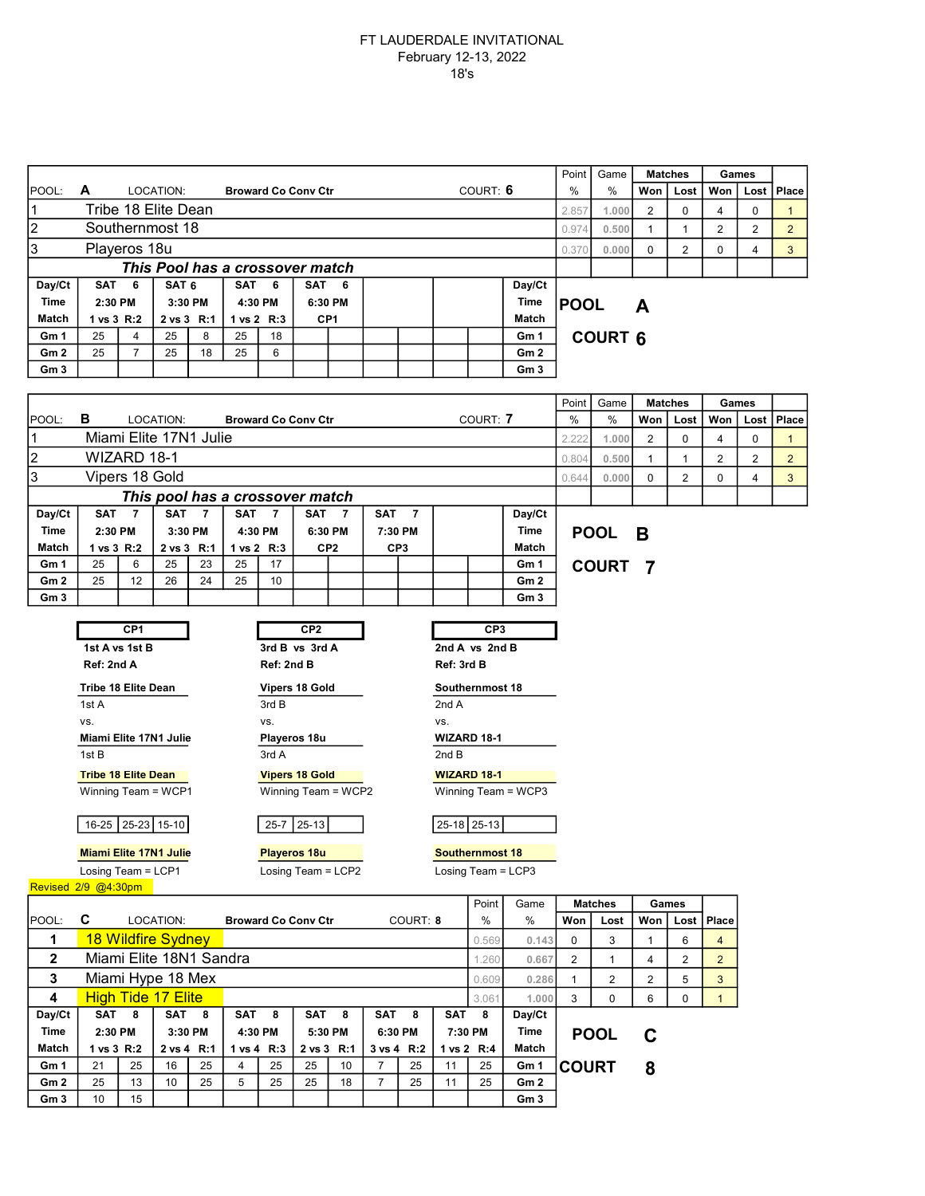## FT LAUDERDALE INVITATIONAL February 12-13, 2022 18's

|                         |                                                                                                                                                  |                                                     |                           |                  |            |                |                            |                 |                 |                  |                    |                     | Point           |                               |                |                |                |                |                |                |
|-------------------------|--------------------------------------------------------------------------------------------------------------------------------------------------|-----------------------------------------------------|---------------------------|------------------|------------|----------------|----------------------------|-----------------|-----------------|------------------|--------------------|---------------------|-----------------|-------------------------------|----------------|----------------|----------------|----------------|----------------|----------------|
| POOL:                   | A<br>LOCATION:<br><b>Broward Co Conv Ctr</b>                                                                                                     |                                                     |                           |                  |            |                |                            |                 |                 | COURT: 6         |                    |                     | Game<br>%       | <b>Matches</b><br>Won<br>Lost |                | Won            | Games<br>Lost  | Place          |                |                |
| 1                       | Tribe 18 Elite Dean                                                                                                                              |                                                     |                           |                  |            |                |                            |                 |                 |                  |                    |                     |                 |                               |                |                |                |                |                |                |
| $\overline{2}$          |                                                                                                                                                  |                                                     |                           |                  |            |                |                            |                 |                 |                  |                    |                     |                 | 2.857<br>0.974                | 1.000<br>0.500 | 2              | 0              | 4              | 0              | $\mathbf{1}$   |
|                         | Southernmost 18                                                                                                                                  |                                                     |                           |                  |            |                |                            |                 |                 |                  |                    |                     |                 |                               |                | $\mathbf{1}$   | $\mathbf{1}$   | $\overline{2}$ | 2              | $\overline{2}$ |
| 3                       | Playeros 18u                                                                                                                                     |                                                     |                           |                  |            |                |                            |                 |                 |                  |                    |                     |                 |                               |                | $\mathbf 0$    | $\overline{2}$ | 0              | 4              | 3              |
|                         | This Pool has a crossover match<br>SAT 6<br>SAT <sub>6</sub><br><b>SAT</b><br>6<br><b>SAT</b><br>Day/Ct<br>6                                     |                                                     |                           |                  |            |                |                            |                 |                 |                  |                    |                     |                 |                               |                |                |                |                |                |                |
| Day/Ct<br>Time          | 2:30 PM                                                                                                                                          |                                                     | 3:30 PM                   |                  | 4:30 PM    |                | 6:30 PM                    |                 |                 |                  | Time               |                     |                 |                               |                |                |                |                |                |                |
| Match                   |                                                                                                                                                  | 1 vs 3 R:2                                          |                           | 2 vs 3 R:1       |            | 1 vs 2 R:3     |                            | CP <sub>1</sub> |                 |                  |                    |                     | Match           | <b>POOL</b>                   |                | A              |                |                |                |                |
| Gm 1                    | 25                                                                                                                                               | 4                                                   | 25                        | 8                | 25         | 18             |                            |                 |                 |                  |                    |                     | Gm 1            |                               | <b>COURT 6</b> |                |                |                |                |                |
| Gm 2                    | 25                                                                                                                                               | $\overline{7}$                                      | 25                        | 18               | 25         | 6              |                            |                 |                 |                  |                    |                     | Gm <sub>2</sub> |                               |                |                |                |                |                |                |
| Gm <sub>3</sub>         |                                                                                                                                                  |                                                     |                           |                  |            |                |                            |                 |                 |                  |                    | Gm <sub>3</sub>     |                 |                               |                |                |                |                |                |                |
|                         |                                                                                                                                                  |                                                     |                           |                  |            |                |                            |                 |                 |                  |                    |                     |                 |                               |                |                |                |                |                |                |
|                         |                                                                                                                                                  |                                                     |                           |                  |            |                |                            |                 |                 |                  |                    |                     |                 | Point                         | Game           |                | <b>Matches</b> |                | Games          |                |
| POOL:                   | в                                                                                                                                                | LOCATION:<br><b>Broward Co Conv Ctr</b><br>COURT: 7 |                           |                  |            |                |                            |                 |                 |                  |                    | $\%$                | %               | Won                           | Lost           | Won            | Lost           | Place          |                |                |
| 1                       |                                                                                                                                                  |                                                     | Miami Elite 17N1 Julie    |                  |            |                |                            |                 |                 |                  |                    |                     |                 | 2.222                         | 1.000          | $\overline{2}$ | $\mathbf 0$    | 4              | 0              | $\mathbf{1}$   |
| $\overline{\mathbf{c}}$ |                                                                                                                                                  | WIZARD 18-1                                         |                           |                  |            |                |                            |                 |                 |                  |                    |                     |                 | 0.804                         | 0.500          | $\mathbf{1}$   | $\mathbf{1}$   | $\overline{2}$ | $\overline{2}$ | $\overline{2}$ |
| 3                       |                                                                                                                                                  | Vipers 18 Gold                                      |                           |                  |            |                |                            |                 |                 |                  |                    |                     |                 | 0.644                         | 0.000          | 0              | $\overline{2}$ | 0              | $\overline{4}$ | 3              |
|                         | This pool has a crossover match                                                                                                                  |                                                     |                           |                  |            |                |                            |                 |                 |                  |                    |                     |                 |                               |                |                |                |                |                |                |
| Day/Ct                  | <b>SAT</b>                                                                                                                                       | $\overline{7}$                                      | <b>SAT</b>                | $\overline{7}$   | <b>SAT</b> | $\overline{7}$ | SAT                        | $\overline{7}$  | SAT             | $\overline{7}$   |                    |                     | Day/Ct          |                               |                |                |                |                |                |                |
| <b>Time</b>             | 2:30 PM                                                                                                                                          |                                                     | 3:30 PM                   |                  | 4:30 PM    |                | 6:30 PM                    |                 | 7:30 PM         |                  |                    |                     | Time            | <b>POOL</b>                   |                | B              |                |                |                |                |
| Match                   | 1 vs 3 R:2                                                                                                                                       |                                                     | 2 vs 3 R:1                |                  | 1 vs 2 R:3 |                | CP <sub>2</sub>            |                 | CP <sub>3</sub> |                  |                    |                     | Match           |                               |                |                |                |                |                |                |
| Gm 1                    | 25                                                                                                                                               | 6                                                   | 25                        | 23               | 25         | 17             |                            |                 |                 |                  |                    |                     | Gm 1            |                               | <b>COURT</b>   | - 7            |                |                |                |                |
| Gm 2                    | 25                                                                                                                                               | 12                                                  | 26                        | 24               | 25         | 10             |                            |                 |                 |                  |                    |                     | Gm <sub>2</sub> |                               |                |                |                |                |                |                |
| Gm 3                    |                                                                                                                                                  |                                                     |                           |                  |            |                |                            |                 |                 |                  |                    |                     | Gm <sub>3</sub> |                               |                |                |                |                |                |                |
|                         | CP <sub>1</sub><br>CP <sub>2</sub><br>CP <sub>3</sub>                                                                                            |                                                     |                           |                  |            |                |                            |                 |                 |                  |                    |                     |                 |                               |                |                |                |                |                |                |
|                         | 2nd A vs 2nd B                                                                                                                                   |                                                     |                           |                  |            |                |                            |                 |                 |                  |                    |                     |                 |                               |                |                |                |                |                |                |
|                         | 1st A vs 1st B<br>3rd B vs 3rd A<br>Ref: 2nd A<br>Ref: 2nd B<br>Ref: 3rd B                                                                       |                                                     |                           |                  |            |                |                            |                 |                 |                  |                    |                     |                 |                               |                |                |                |                |                |                |
|                         |                                                                                                                                                  |                                                     |                           |                  |            |                |                            |                 |                 |                  |                    |                     |                 |                               |                |                |                |                |                |                |
|                         | Tribe 18 Elite Dean<br>Vipers 18 Gold<br>Southernmost 18                                                                                         |                                                     |                           |                  |            |                |                            |                 |                 |                  |                    |                     |                 |                               |                |                |                |                |                |                |
|                         | 1st A<br>VS.                                                                                                                                     |                                                     |                           |                  |            | 3rd B<br>VS.   |                            |                 |                 |                  | 2nd A<br>VS.       |                     |                 |                               |                |                |                |                |                |                |
|                         |                                                                                                                                                  |                                                     |                           |                  |            |                |                            | WIZARD 18-1     |                 |                  |                    |                     |                 |                               |                |                |                |                |                |                |
|                         | Miami Elite 17N1 Julie<br>Playeros 18u<br>3rd A<br>1st B<br>2nd B                                                                                |                                                     |                           |                  |            |                |                            |                 |                 |                  |                    |                     |                 |                               |                |                |                |                |                |                |
|                         |                                                                                                                                                  |                                                     |                           |                  |            |                |                            |                 |                 |                  | <b>WIZARD 18-1</b> |                     |                 |                               |                |                |                |                |                |                |
|                         | <b>Tribe 18 Elite Dean</b><br><b>Vipers 18 Gold</b><br>Winning Team = WCP1<br>Winning Team = WCP2<br>Winning Team = WCP3                         |                                                     |                           |                  |            |                |                            |                 |                 |                  |                    |                     |                 |                               |                |                |                |                |                |                |
|                         |                                                                                                                                                  |                                                     |                           |                  |            |                |                            |                 |                 |                  |                    |                     |                 |                               |                |                |                |                |                |                |
|                         |                                                                                                                                                  |                                                     | 16-25 25-23 15-10         |                  |            |                | 25-7 25-13                 |                 |                 |                  |                    | 25-18 25-13         |                 |                               |                |                |                |                |                |                |
|                         |                                                                                                                                                  |                                                     |                           |                  |            |                |                            |                 |                 |                  |                    |                     |                 |                               |                |                |                |                |                |                |
|                         | <b>Miami Elite 17N1 Julie</b><br><b>Playeros 18u</b><br><b>Southernmost 18</b><br>Losing Team = LCP1<br>Losing Team = LCP2<br>Losing Team = LCP3 |                                                     |                           |                  |            |                |                            |                 |                 |                  |                    |                     |                 |                               |                |                |                |                |                |                |
| Revised 2/9 @4:30pm     |                                                                                                                                                  |                                                     |                           |                  |            |                |                            |                 |                 |                  |                    |                     |                 |                               |                |                |                |                |                |                |
|                         |                                                                                                                                                  |                                                     |                           |                  |            |                |                            |                 |                 |                  |                    | Point               | Game            |                               | <b>Matches</b> |                | Games          |                |                |                |
| POOL:                   | C                                                                                                                                                |                                                     | LOCATION:                 |                  |            |                | <b>Broward Co Conv Ctr</b> |                 |                 | COURT: 8         |                    | %                   | %               | Won                           | Lost           | Won            | Lost           | Place          |                |                |
| 1                       |                                                                                                                                                  |                                                     | 18 Wildfire Sydney        |                  |            |                |                            |                 |                 |                  |                    | 0.569               | 0.143           | 0                             | 3              | $\mathbf{1}$   | 6              | $\overline{4}$ |                |                |
| 2                       |                                                                                                                                                  |                                                     | Miami Elite 18N1 Sandra   |                  |            |                |                            |                 |                 |                  |                    | 1.260               | 0.667           | $\overline{2}$                | 1              | 4              | $\overline{2}$ | $\overline{2}$ |                |                |
| 3                       |                                                                                                                                                  |                                                     |                           |                  |            |                |                            |                 |                 |                  |                    |                     |                 |                               |                |                |                |                |                |                |
|                         |                                                                                                                                                  |                                                     | Miami Hype 18 Mex         |                  |            |                |                            |                 |                 |                  |                    | 0.609               | 0.286           | $\mathbf{1}$                  | 2              | $\overline{c}$ | 5              | 3              |                |                |
| 4<br>Day/Ct             |                                                                                                                                                  |                                                     | <b>High Tide 17 Elite</b> |                  |            |                | SAT                        | 8               | SAT             | 8                |                    | 3.061               | 1.000<br>Day/Ct | 3                             | 0              | 6              | 0              | $\mathbf{1}$   |                |                |
| <b>Time</b>             | SAT 8<br>SAT 8<br>2:30 PM<br>3:30 PM                                                                                                             |                                                     |                           | SAT 8<br>4:30 PM |            |                | 5:30 PM                    |                 | 6:30 PM         | SAT 8<br>7:30 PM |                    | Time                |                 | <b>POOL</b>                   |                |                |                |                |                |                |
| Match                   | 1 vs 3 R:2                                                                                                                                       |                                                     | 2 vs 4 R:1                |                  | 1 vs 4 R:3 |                | 2 vs 3 R:1                 |                 |                 | 3 vs 4 R:2       |                    | Match<br>1 vs 2 R:4 |                 |                               |                | C              |                |                |                |                |
| Gm 1                    | 21                                                                                                                                               | 25                                                  | 16                        | 25               | 4          | 25             | 25                         | 10              | $\overline{7}$  | 25               | 11                 | 25                  | Gm 1            | <b>COURT</b>                  |                | 8              |                |                |                |                |
| Gm 2                    | 25                                                                                                                                               | 13                                                  | 10                        | 25               | 5          | 25             | 25                         | 18              | $\overline{7}$  | 25               | 11                 | 25                  | Gm <sub>2</sub> |                               |                |                |                |                |                |                |
| Gm <sub>3</sub>         | 10                                                                                                                                               | 15                                                  |                           |                  |            |                |                            |                 |                 |                  |                    |                     | Gm <sub>3</sub> |                               |                |                |                |                |                |                |